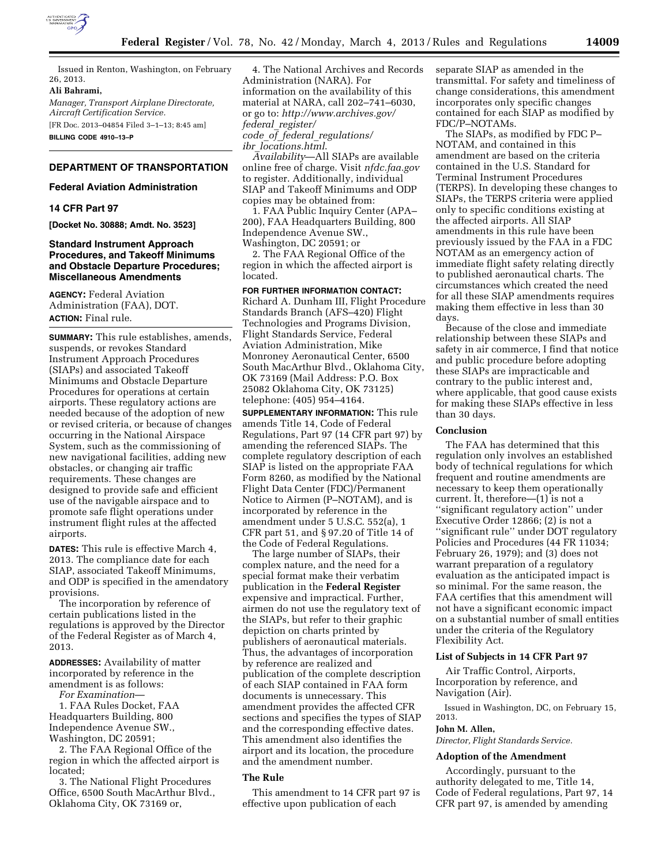

Issued in Renton, Washington, on February 26, 2013.

#### **Ali Bahrami,**

*Manager, Transport Airplane Directorate, Aircraft Certification Service.*  [FR Doc. 2013–04854 Filed 3–1–13; 8:45 am]

**BILLING CODE 4910–13–P** 

# **DEPARTMENT OF TRANSPORTATION**

# **Federal Aviation Administration**

# **14 CFR Part 97**

**[Docket No. 30888; Amdt. No. 3523]** 

# **Standard Instrument Approach Procedures, and Takeoff Minimums and Obstacle Departure Procedures; Miscellaneous Amendments**

**AGENCY:** Federal Aviation Administration (FAA), DOT. **ACTION:** Final rule.

**SUMMARY:** This rule establishes, amends, suspends, or revokes Standard Instrument Approach Procedures (SIAPs) and associated Takeoff Minimums and Obstacle Departure Procedures for operations at certain airports. These regulatory actions are needed because of the adoption of new or revised criteria, or because of changes occurring in the National Airspace System, such as the commissioning of new navigational facilities, adding new obstacles, or changing air traffic requirements. These changes are designed to provide safe and efficient use of the navigable airspace and to promote safe flight operations under instrument flight rules at the affected airports.

**DATES:** This rule is effective March 4, 2013. The compliance date for each SIAP, associated Takeoff Minimums, and ODP is specified in the amendatory provisions.

The incorporation by reference of certain publications listed in the regulations is approved by the Director of the Federal Register as of March 4, 2013.

**ADDRESSES:** Availability of matter incorporated by reference in the amendment is as follows:

*For Examination*—

1. FAA Rules Docket, FAA Headquarters Building, 800 Independence Avenue SW., Washington, DC 20591;

2. The FAA Regional Office of the region in which the affected airport is located;

3. The National Flight Procedures Office, 6500 South MacArthur Blvd., Oklahoma City, OK 73169 or,

4. The National Archives and Records Administration (NARA). For information on the availability of this material at NARA, call 202–741–6030, or go to: *[http://www.archives.gov/](http://www.archives.gov/federal_register/code_of_federal_regulations/ibr_locations.html)  federal*\_*register/ code*\_*of*\_*federal*\_*regulations/ ibr*\_*[locations.html](http://www.archives.gov/federal_register/code_of_federal_regulations/ibr_locations.html)*.

*Availability*—All SIAPs are available online free of charge. Visit *nfdc.faa.gov*  to register. Additionally, individual SIAP and Takeoff Minimums and ODP copies may be obtained from:

1. FAA Public Inquiry Center (APA– 200), FAA Headquarters Building, 800 Independence Avenue SW., Washington, DC 20591; or

2. The FAA Regional Office of the region in which the affected airport is located.

# **FOR FURTHER INFORMATION CONTACT:**  Richard A. Dunham III, Flight Procedure Standards Branch (AFS–420) Flight Technologies and Programs Division, Flight Standards Service, Federal Aviation Administration, Mike Monroney Aeronautical Center, 6500 South MacArthur Blvd., Oklahoma City, OK 73169 (Mail Address: P.O. Box 25082 Oklahoma City, OK 73125) telephone: (405) 954–4164.

**SUPPLEMENTARY INFORMATION:** This rule amends Title 14, Code of Federal Regulations, Part 97 (14 CFR part 97) by amending the referenced SIAPs. The complete regulatory description of each SIAP is listed on the appropriate FAA Form 8260, as modified by the National Flight Data Center (FDC)/Permanent Notice to Airmen (P–NOTAM), and is incorporated by reference in the amendment under 5 U.S.C. 552(a), 1 CFR part 51, and § 97.20 of Title 14 of the Code of Federal Regulations.

The large number of SIAPs, their complex nature, and the need for a special format make their verbatim publication in the **Federal Register**  expensive and impractical. Further, airmen do not use the regulatory text of the SIAPs, but refer to their graphic depiction on charts printed by publishers of aeronautical materials. Thus, the advantages of incorporation by reference are realized and publication of the complete description of each SIAP contained in FAA form documents is unnecessary. This amendment provides the affected CFR sections and specifies the types of SIAP and the corresponding effective dates. This amendment also identifies the airport and its location, the procedure and the amendment number.

# **The Rule**

This amendment to 14 CFR part 97 is effective upon publication of each

separate SIAP as amended in the transmittal. For safety and timeliness of change considerations, this amendment incorporates only specific changes contained for each SIAP as modified by FDC/P–NOTAMs.

The SIAPs, as modified by FDC P– NOTAM, and contained in this amendment are based on the criteria contained in the U.S. Standard for Terminal Instrument Procedures (TERPS). In developing these changes to SIAPs, the TERPS criteria were applied only to specific conditions existing at the affected airports. All SIAP amendments in this rule have been previously issued by the FAA in a FDC NOTAM as an emergency action of immediate flight safety relating directly to published aeronautical charts. The circumstances which created the need for all these SIAP amendments requires making them effective in less than 30 days.

Because of the close and immediate relationship between these SIAPs and safety in air commerce, I find that notice and public procedure before adopting these SIAPs are impracticable and contrary to the public interest and, where applicable, that good cause exists for making these SIAPs effective in less than 30 days.

# **Conclusion**

The FAA has determined that this regulation only involves an established body of technical regulations for which frequent and routine amendments are necessary to keep them operationally current. It, therefore—(1) is not a ''significant regulatory action'' under Executive Order 12866; (2) is not a ''significant rule'' under DOT regulatory Policies and Procedures (44 FR 11034; February 26, 1979); and (3) does not warrant preparation of a regulatory evaluation as the anticipated impact is so minimal. For the same reason, the FAA certifies that this amendment will not have a significant economic impact on a substantial number of small entities under the criteria of the Regulatory Flexibility Act.

# **List of Subjects in 14 CFR Part 97**

Air Traffic Control, Airports, Incorporation by reference, and Navigation (Air).

Issued in Washington, DC, on February 15, 2013.

#### **John M. Allen,**

*Director, Flight Standards Service.* 

# **Adoption of the Amendment**

Accordingly, pursuant to the authority delegated to me, Title 14, Code of Federal regulations, Part 97, 14 CFR part 97, is amended by amending